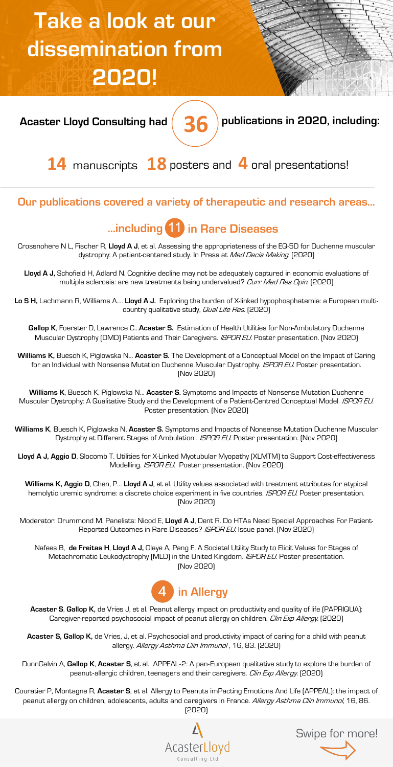# **Take a look at our dissemination from 2020!**



**Acaster Lloyd Consulting had publications in 2020, including: 36**

**14** manuscripts **18** posters and **4** oral presentations!

#### **Our publications covered a variety of therapeutic and research areas…**

### **…including** 11 **in Rare Diseases**

Crossnohere N L, Fischer R, **Lloyd A J**, et al. Assessing the appropriateness of the EQ-5D for Duchenne muscular dystrophy: A patient-centered study. In Press at *Med Decis Making*. [2020]

Lloyd A J, Schofield H, Adlard N. Cognitive decline may not be adequately captured in economic evaluations of multiple sclerosis: are new treatments being undervalued? Curr Med Res Opin. [2020]

**Lo S H,** Lachmann R, Williams A…. **Lloyd A J.** Exploring the burden of X-linked hypophosphatemia: a European multicountry qualitative study, Qual Life Res. [2020]

**Gallop K**, Foerster D, Lawrence C…**Acaster S.** Estimation of Health Utilities for Non-Ambulatory Duchenne Muscular Dystrophy (DMD) Patients and Their Caregivers. *ISPOR EU*. Poster presentation. (Nov 2020)

**Williams K,** Buesch K, Piglowska N… **Acaster S.** The Development of a Conceptual Model on the Impact of Caring for an Individual with Nonsense Mutation Duchenne Muscular Dystrophy. ISPOR EU. Poster presentation. (Nov 2020)

**Williams K**, Buesch K, Piglowska N… **Acaster S.** Symptoms and Impacts of Nonsense Mutation Duchenne Muscular Dystrophy: A Qualitative Study and the Development of a Patient-Centred Conceptual Model. ISPOR EU. Poster presentation. (Nov 2020)

**Williams K**, Buesch K, Piglowska N, **Acaster S.** Symptoms and Impacts of Nonsense Mutation Duchenne Muscular Dystrophy at Different Stages of Ambulation . ISPOR EU. Poster presentation. [Nov 2020]

**Lloyd A J, Aggio D**, Slocomb T. Utilities for X-Linked Myotubular Myopathy (XLMTM) to Support Cost-effectiveness Modelling. ISPOR EU. Poster presentation. [Nov 2020]

**Williams K, Aggio D**, Chen, P… **Lloyd A J**, et al. Utility values associated with treatment attributes for atypical hemolytic uremic syndrome: a discrete choice experiment in five countries. ISPOR EU. Poster presentation. (Nov 2020)

Moderator: Drummond M. Panelists: Nicod E, **Lloyd A J**, Dent R. Do HTAs Need Special Approaches For Patient-Reported Outcomes in Rare Diseases? ISPOR EU. Issue panel. (Nov 2020)

Nafees B, **de Freitas H**, **Lloyd A J,** Olaye A, Pang F. A Societal Utility Study to Elicit Values for Stages of Metachromatic Leukodystrophy (MLD) in the United Kingdom. ISPOR EU. Poster presentation. (Nov 2020)



**Acaster S**, **Gallop K,** de Vries J, et al. Peanut allergy impact on productivity and quality of life (PAPRIQUA): Caregiver-reported psychosocial impact of peanut allergy on children. Clin Exp Allergy. (2020)

**Acaster S, Gallop K,** de Vries, J, et al. Psychosocial and productivity impact of caring for a child with peanut allergy. Allergy Asthma Clin Immunol, 16, 83. [2020]

DunnGalvin A, **Gallop K**, **Acaster S**, et al. APPEAL-2: A pan-European qualitative study to explore the burden of peanut-allergic children, teenagers and their caregivers. Clin Exp Allergy. (2020)

Couratier P, Montagne R, **Acaster S**, et al. Allergy to Peanuts imPacting Emotions And Life (APPEAL): the impact of peanut allergy on children, adolescents, adults and caregivers in France. Allergy Asthma Clin Immunol, 16, 86. (2020)



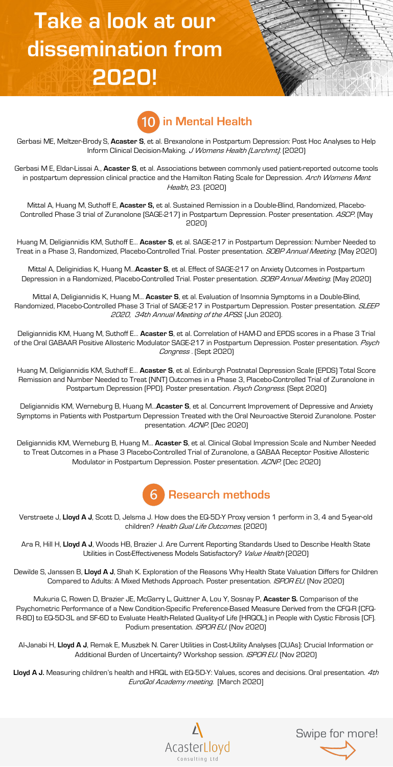## **Take a look at our dissemination from 2020!**



Gerbasi ME, Meltzer-Brody S, **Acaster S**, et al. Brexanolone in Postpartum Depression: Post Hoc Analyses to Help Inform Clinical Decision-Making. J Womens Health (Larchmt). [2020]

Gerbasi M E, Eldar-Lissai A., **Acaster S**, et al. Associations between commonly used patient-reported outcome tools in postpartum depression clinical practice and the Hamilton Rating Scale for Depression. Arch Womens Ment Health, 23. (2020)

Mittal A, Huang M, Suthoff E, **Acaster S,** et al. Sustained Remission in a Double-Blind, Randomized, Placebo-Controlled Phase 3 trial of Zuranolone (SAGE-217) in Postpartum Depression. Poster presentation. ASCP. [May 2020)

Huang M, Deligiannidis KM, Suthoff E… **Acaster S**, et al. SAGE-217 in Postpartum Depression: Number Needed to Treat in a Phase 3, Randomized, Placebo-Controlled Trial. Poster presentation. SOBP Annual Meeting. [May 2020]

Mittal A, Deliginidias K, Huang M…**Acaster S**, et al. Effect of SAGE-217 on Anxiety Outcomes in Postpartum Depression in a Randomized, Placebo-Controlled Trial. Poster presentation. SOBP Annual Meeting. [May 2020]

Mittal A, Deligiannidis K, Huang M… **Acaster S**, et al. Evaluation of Insomnia Symptoms in a Double-Blind, Randomized, Placebo-Controlled Phase 3 Trial of SAGE-217 in Postpartum Depression. Poster presentation. SLEEP 2020, 34th Annual Meeting of the APSS. (Jun 2020).

Deligiannidis KM, Huang M, Suthoff E… **Acaster S**, et al. Correlation of HAM-D and EPDS scores in a Phase 3 Trial of the Oral GABAAR Positive Allosteric Modulator SAGE-217 in Postpartum Depression. Poster presentation. Psych Congress . (Sept 2020)

Huang M, Deligiannidis KM, Suthoff E… **Acaster S**, et al. Edinburgh Postnatal Depression Scale (EPDS) Total Score Remission and Number Needed to Treat (NNT) Outcomes in a Phase 3, Placebo-Controlled Trial of Zuranolone in Postpartum Depression (PPD). Poster presentation. Psych Congress. (Sept 2020)

Deligiannidis KM, Werneburg B, Huang M…**Acaster S**, et al. Concurrent Improvement of Depressive and Anxiety Symptoms in Patients with Postpartum Depression Treated with the Oral Neuroactive Steroid Zuranolone. Poster presentation. ACNP. (Dec 2020)

Deligiannidis KM, Werneburg B, Huang M… **Acaster S**, et al. Clinical Global Impression Scale and Number Needed to Treat Outcomes in a Phase 3 Placebo-Controlled Trial of Zuranolone, a GABAA Receptor Positive Allosteric Modulator in Postpartum Depression. Poster presentation. ACNP. (Dec 2020)



Verstraete J, **Lloyd A J**, Scott D, Jelsma J. How does the EQ-5D-Y Proxy version 1 perform in 3, 4 and 5-year-old children? Health Qual Life Outcomes. [2020]

Ara R, Hill H, **Lloyd A J**, Woods HB, Brazier J. Are Current Reporting Standards Used to Describe Health State Utilities in Cost-Effectiveness Models Satisfactory? Value Health [2020]

Dewilde S, Janssen B, **Lloyd A J**, Shah K. Exploration of the Reasons Why Health State Valuation Differs for Children Compared to Adults: A Mixed Methods Approach. Poster presentation. ISPOR EU. (Nov 2020)

Mukuria C, Rowen D, Brazier JE, McGarry L, Quittner A, Lou Y, Sosnay P, **Acaster S.** Comparison of the Psychometric Performance of a New Condition-Specific Preference-Based Measure Derived from the CFQ-R (CFQ-R-8D) to EQ-5D-3L and SF-6D to Evaluate Health-Related Quality-of Life (HRQOL) in People with Cystic Fibrosis (CF). Podium presentation. *ISPOR EU*. (Nov 2020)

Al-Janabi H, **Lloyd A J**, Remak E, Muszbek N. Carer Utilities in Cost-Utility Analyses (CUAs): Crucial Information or Additional Burden of Uncertainty? Workshop session. ISPOR EU. (Nov 2020)

**Lloyd A J.** Measuring children's health and HRQL with EQ-5D-Y: Values, scores and decisions. Oral presentation. 4th EuroQol Academy meeting. [March 2020]